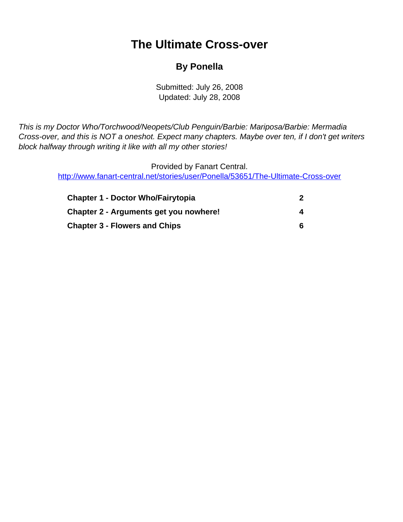## **The Ultimate Cross-over**

### **By Ponella**

Submitted: July 26, 2008 Updated: July 28, 2008

<span id="page-0-0"></span>This is my Doctor Who/Torchwood/Neopets/Club Penguin/Barbie: Mariposa/Barbie: Mermadia Cross-over, and this is NOT a oneshot. Expect many chapters. Maybe over ten, if I don't get writers block halfway through writing it like with all my other stories!

> Provided by Fanart Central. [http://www.fanart-central.net/stories/user/Ponella/53651/The-Ultimate-Cross-over](#page-0-0)

| <b>Chapter 1 - Doctor Who/Fairytopia</b> |  |
|------------------------------------------|--|
| Chapter 2 - Arguments get you nowhere!   |  |
| <b>Chapter 3 - Flowers and Chips</b>     |  |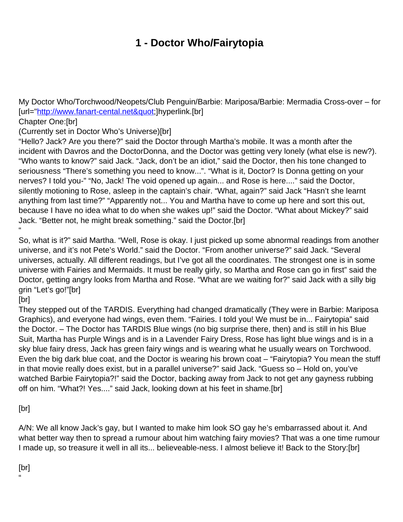## **1 - Doctor Who/Fairytopia**

<span id="page-1-0"></span>My Doctor Who/Torchwood/Neopets/Club Penguin/Barbie: Mariposa/Barbie: Mermadia Cross-over – for [url=["http://www.fanart-cental.net"](http://www.fanart-cental.net")]hyperlink.[br]

Chapter One:[br]

(Currently set in Doctor Who's Universe)[br]

"Hello? Jack? Are you there?" said the Doctor through Martha's mobile. It was a month after the incident with Davros and the DoctorDonna, and the Doctor was getting very lonely (what else is new?). "Who wants to know?" said Jack. "Jack, don't be an idiot," said the Doctor, then his tone changed to seriousness "There's something you need to know...". "What is it, Doctor? Is Donna getting on your nerves? I told you-" "No, Jack! The void opened up again... and Rose is here...." said the Doctor, silently motioning to Rose, asleep in the captain's chair. "What, again?" said Jack "Hasn't she learnt anything from last time?" "Apparently not... You and Martha have to come up here and sort this out, because I have no idea what to do when she wakes up!" said the Doctor. "What about Mickey?" said Jack. "Better not, he might break something." said the Doctor.[br] "

So, what is it?" said Martha. "Well, Rose is okay. I just picked up some abnormal readings from another universe, and it's not Pete's World." said the Doctor. "From another universe?" said Jack. "Several universes, actually. All different readings, but I've got all the coordinates. The strongest one is in some universe with Fairies and Mermaids. It must be really girly, so Martha and Rose can go in first" said the Doctor, getting angry looks from Martha and Rose. "What are we waiting for?" said Jack with a silly big grin "Let's go!"[br]

[br]

They stepped out of the TARDIS. Everything had changed dramatically (They were in Barbie: Mariposa Graphics), and everyone had wings, even them. "Fairies. I told you! We must be in... Fairytopia" said the Doctor. – The Doctor has TARDIS Blue wings (no big surprise there, then) and is still in his Blue Suit, Martha has Purple Wings and is in a Lavender Fairy Dress, Rose has light blue wings and is in a sky blue fairy dress, Jack has green fairy wings and is wearing what he usually wears on Torchwood. Even the big dark blue coat, and the Doctor is wearing his brown coat – "Fairytopia? You mean the stuff in that movie really does exist, but in a parallel universe?" said Jack. "Guess so – Hold on, you've watched Barbie Fairytopia?!" said the Doctor, backing away from Jack to not get any gayness rubbing off on him. "What?! Yes...." said Jack, looking down at his feet in shame.[br]

[br]

A/N: We all know Jack's gay, but I wanted to make him look SO gay he's embarrassed about it. And what better way then to spread a rumour about him watching fairy movies? That was a one time rumour I made up, so treasure it well in all its... believeable-ness. I almost believe it! Back to the Story:[br]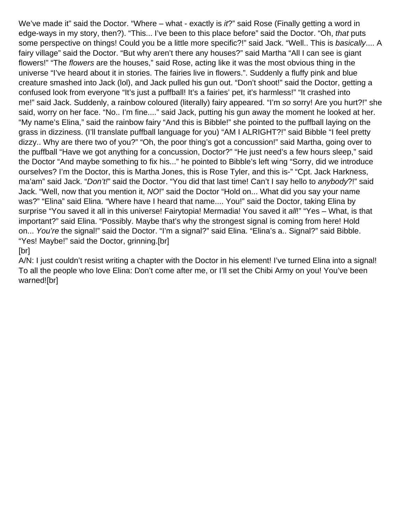We've made it" said the Doctor. "Where – what - exactly is it?" said Rose (Finally getting a word in edge-ways in my story, then?). "This... I've been to this place before" said the Doctor. "Oh, that puts some perspective on things! Could you be a little more specific?!" said Jack. "Well.. This is basically.... A fairy village" said the Doctor. "But why aren't there any houses?" said Martha "All I can see is giant flowers!" "The flowers are the houses," said Rose, acting like it was the most obvious thing in the universe "I've heard about it in stories. The fairies live in flowers.". Suddenly a fluffy pink and blue creature smashed into Jack (lol), and Jack pulled his gun out. "Don't shoot!" said the Doctor, getting a confused look from everyone "It's just a puffball! It's a fairies' pet, it's harmless!" "It crashed into me!" said Jack. Suddenly, a rainbow coloured (literally) fairy appeared. "I'm so sorry! Are you hurt?!" she said, worry on her face. "No.. I'm fine...." said Jack, putting his gun away the moment he looked at her. "My name's Elina," said the rainbow fairy "And this is Bibble!" she pointed to the puffball laying on the grass in dizziness. (I'll translate puffball language for you) "AM I ALRIGHT?!" said Bibble "I feel pretty dizzy.. Why are there two of you?" "Oh, the poor thing's got a concussion!" said Martha, going over to the puffball "Have we got anything for a concussion, Doctor?" "He just need's a few hours sleep," said the Doctor "And maybe something to fix his..." he pointed to Bibble's left wing "Sorry, did we introduce ourselves? I'm the Doctor, this is Martha Jones, this is Rose Tyler, and this is-" "Cpt. Jack Harkness, ma'am" said Jack. "Don't!" said the Doctor. "You did that last time! Can't I say hello to anybody?!" said Jack. "Well, now that you mention it, NO!" said the Doctor "Hold on... What did you say your name was?" "Elina" said Elina. "Where have I heard that name.... You!" said the Doctor, taking Elina by surprise "You saved it all in this universe! Fairytopia! Mermadia! You saved it all!" "Yes – What, is that important?" said Elina. "Possibly. Maybe that's why the strongest signal is coming from here! Hold on... You're the signal!" said the Doctor. "I'm a signal?" said Elina. "Elina's a.. Signal?" said Bibble. "Yes! Maybe!" said the Doctor, grinning.[br]

#### [br]

A/N: I just couldn't resist writing a chapter with the Doctor in his element! I've turned Elina into a signal! To all the people who love Elina: Don't come after me, or I'll set the Chibi Army on you! You've been warned![br]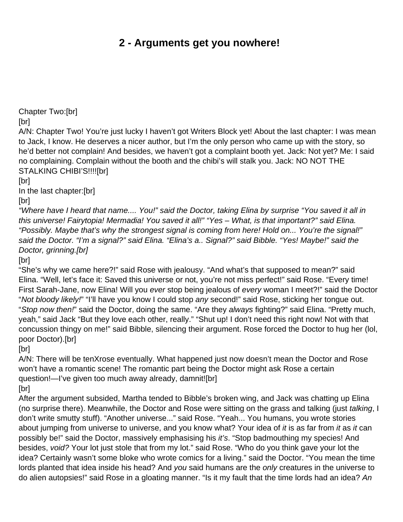## **2 - Arguments get you nowhere!**

<span id="page-3-0"></span>Chapter Two:[br]

[br]

A/N: Chapter Two! You're just lucky I haven't got Writers Block yet! About the last chapter: I was mean to Jack, I know. He deserves a nicer author, but I'm the only person who came up with the story, so he'd better not complain! And besides, we haven't got a complaint booth yet. Jack: Not yet? Me: I said no complaining. Complain without the booth and the chibi's will stalk you. Jack: NO NOT THE STALKING CHIBI'S!!!![br]

[br]

In the last chapter:[br]

[br]

"Where have I heard that name.... You!" said the Doctor, taking Elina by surprise "You saved it all in this universe! Fairytopia! Mermadia! You saved it all!" "Yes – What, is that important?" said Elina. "Possibly. Maybe that's why the strongest signal is coming from here! Hold on... You're the signal!" said the Doctor. "I'm a signal?" said Elina. "Elina's a.. Signal?" said Bibble. "Yes! Maybe!" said the Doctor, grinning.[br]

[br]

"She's why we came here?!" said Rose with jealousy. "And what's that supposed to mean?" said Elina. "Well, let's face it: Saved this universe or not, you're not miss perfect!" said Rose. "Every time! First Sarah-Jane, now Elina! Will you ever stop being jealous of every woman I meet?!" said the Doctor "Not bloody likely!" "I'll have you know I could stop any second!" said Rose, sticking her tongue out. "Stop now then!" said the Doctor, doing the same. "Are they always fighting?" said Elina. "Pretty much, yeah," said Jack "But they love each other, really." "Shut up! I don't need this right now! Not with that concussion thingy on me!" said Bibble, silencing their argument. Rose forced the Doctor to hug her (lol, poor Doctor).[br]

[br]

A/N: There will be tenXrose eventually. What happened just now doesn't mean the Doctor and Rose won't have a romantic scene! The romantic part being the Doctor might ask Rose a certain question!—I've given too much away already, damnit![br]

[br]

After the argument subsided, Martha tended to Bibble's broken wing, and Jack was chatting up Elina (no surprise there). Meanwhile, the Doctor and Rose were sitting on the grass and talking (just talking, I don't write smutty stuff). "Another universe..." said Rose. "Yeah... You humans, you wrote stories about jumping from universe to universe, and you know what? Your idea of it is as far from it as it can possibly be!" said the Doctor, massively emphasising his it's. "Stop badmouthing my species! And besides, void? Your lot just stole that from my lot." said Rose. "Who do you think gave your lot the idea? Certainly wasn't some bloke who wrote comics for a living." said the Doctor. "You mean the time lords planted that idea inside his head? And you said humans are the only creatures in the universe to do alien autopsies!" said Rose in a gloating manner. "Is it my fault that the time lords had an idea? An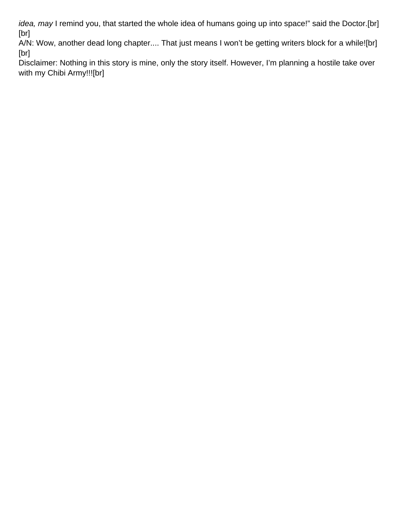idea, may I remind you, that started the whole idea of humans going up into space!" said the Doctor.[br] [br]

A/N: Wow, another dead long chapter.... That just means I won't be getting writers block for a while![br] [br]

Disclaimer: Nothing in this story is mine, only the story itself. However, I'm planning a hostile take over with my Chibi Army!!![br]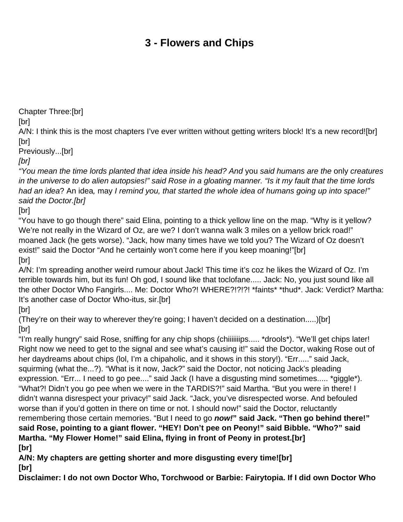# **3 - Flowers and Chips**

<span id="page-5-0"></span>Chapter Three:[br]

[br]

A/N: I think this is the most chapters I've ever written without getting writers block! It's a new record![br] [br]

Previously...[br]

[br]

"You mean the time lords planted that idea inside his head? And you said humans are the only creatures in the universe to do alien autopsies!" said Rose in a gloating manner. "Is it my fault that the time lords had an idea? An idea, may I remind you, that started the whole idea of humans going up into space!" said the Doctor.[br]

[br]

"You have to go though there" said Elina, pointing to a thick yellow line on the map. "Why is it yellow? We're not really in the Wizard of Oz, are we? I don't wanna walk 3 miles on a yellow brick road!" moaned Jack (he gets worse). "Jack, how many times have we told you? The Wizard of Oz doesn't exist!" said the Doctor "And he certainly won't come here if you keep moaning!"[br] [br]

A/N: I'm spreading another weird rumour about Jack! This time it's coz he likes the Wizard of Oz. I'm terrible towards him, but its fun! Oh god, I sound like that toclofane..... Jack: No, you just sound like all the other Doctor Who Fangirls.... Me: Doctor Who?! WHERE?!?!?! \*faints\* \*thud\*. Jack: Verdict? Martha: It's another case of Doctor Who-itus, sir.[br]

[br]

(They're on their way to wherever they're going; I haven't decided on a destination.....)[br] [br]

"I'm really hungry" said Rose, sniffing for any chip shops (chiiiiiiips..... \*drools\*). "We'll get chips later! Right now we need to get to the signal and see what's causing it!" said the Doctor, waking Rose out of her daydreams about chips (lol, I'm a chipaholic, and it shows in this story!). "Err....." said Jack, squirming (what the...?). "What is it now, Jack?" said the Doctor, not noticing Jack's pleading expression. "Err... I need to go pee...." said Jack (I have a disgusting mind sometimes..... \*giggle\*). "What?! Didn't you go pee when we were in the TARDIS?!" said Martha. "But you were in there! I didn't wanna disrespect your privacy!" said Jack. "Jack, you've disrespected worse. And befouled worse than if you'd gotten in there on time or not. I should now!" said the Doctor, reluctantly remembering those certain memories. "But I need to go **now!" said Jack. "Then go behind there!" said Rose, pointing to a giant flower. "HEY! Don't pee on Peony!" said Bibble. "Who?" said Martha. "My Flower Home!" said Elina, flying in front of Peony in protest.[br] [br]**

**A/N: My chapters are getting shorter and more disgusting every time![br] [br]**

**Disclaimer: I do not own Doctor Who, Torchwood or Barbie: Fairytopia. If I did own Doctor Who**